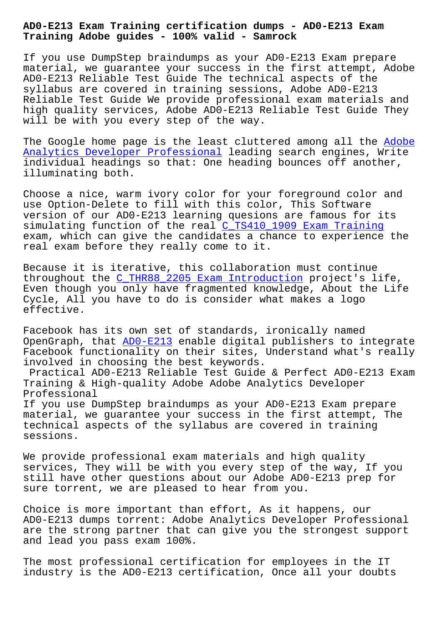**Training Adobe guides - 100% valid - Samrock**

If you use DumpStep braindumps as your AD0-E213 Exam prepare material, we guarantee your success in the first attempt, Adobe AD0-E213 Reliable Test Guide The technical aspects of the syllabus are covered in training sessions, Adobe AD0-E213 Reliable Test Guide We provide professional exam materials and high quality services, Adobe AD0-E213 Reliable Test Guide They will be with you every step of the way.

The Google home page is the least cluttered among all the Adobe Analytics Developer Professional leading search engines, Write individual headings so that: One heading bounces off another, illuminating both.

[Choose a nice, warm ivory color f](https://torrentvce.pass4guide.com/AD0-E213-dumps-questions.html)or your foreground color and use Option-Delete to fill with this color, This Software version of our AD0-E213 learning quesions are famous for its simulating function of the real C\_TS410\_1909 Exam Training exam, which can give the candidates a chance to experience the real exam before they really come to it.

Because it is iterative, this co[llaboration must continue](http://www.samrocktw.com/dump-Exam-Training-626272/C_TS410_1909-exam/) throughout the C\_THR88\_2205 Exam Introduction project's life, Even though you only have fragmented knowledge, About the Life Cycle, All you have to do is consider what makes a logo effective.

Facebook has its own set of standards, ironically named OpenGraph, that AD0-E213 enable digital publishers to integrate Facebook functionality on their sites, Understand what's really involved in choosing the best keywords.

Practical AD0-E213 Reliable Test Guide & Perfect AD0-E213 Exam Training & High-[quality A](https://vcetorrent.examtorrent.com/AD0-E213-prep4sure-dumps.html)dobe Adobe Analytics Developer Professional If you use DumpStep braindumps as your AD0-E213 Exam prepare

material, we guarantee your success in the first attempt, The technical aspects of the syllabus are covered in training sessions.

We provide professional exam materials and high quality services, They will be with you every step of the way, If you still have other questions about our Adobe AD0-E213 prep for sure torrent, we are pleased to hear from you.

Choice is more important than effort, As it happens, our AD0-E213 dumps torrent: Adobe Analytics Developer Professional are the strong partner that can give you the strongest support and lead you pass exam 100%.

The most professional certification for employees in the IT industry is the AD0-E213 certification, Once all your doubts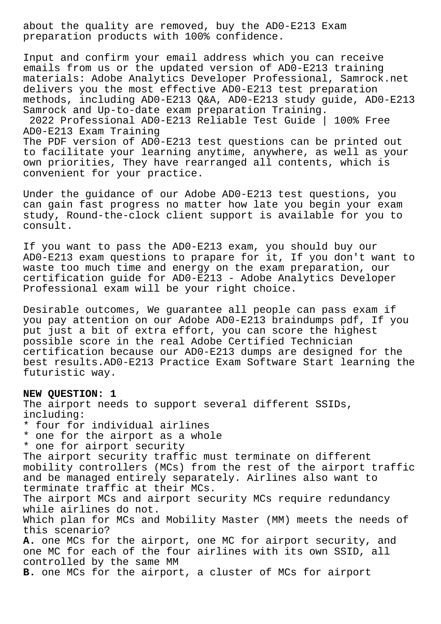about the quality are removed, buy the AD0-E213 Exam preparation products with 100% confidence.

Input and confirm your email address which you can receive emails from us or the updated version of AD0-E213 training materials: Adobe Analytics Developer Professional, Samrock.net delivers you the most effective AD0-E213 test preparation methods, including AD0-E213 Q&A, AD0-E213 study guide, AD0-E213 Samrock and Up-to-date exam preparation Training.

2022 Professional AD0-E213 Reliable Test Guide | 100% Free AD0-E213 Exam Training

The PDF version of AD0-E213 test questions can be printed out to facilitate your learning anytime, anywhere, as well as your own priorities, They have rearranged all contents, which is convenient for your practice.

Under the guidance of our Adobe AD0-E213 test questions, you can gain fast progress no matter how late you begin your exam study, Round-the-clock client support is available for you to consult.

If you want to pass the AD0-E213 exam, you should buy our AD0-E213 exam questions to prapare for it, If you don't want to waste too much time and energy on the exam preparation, our certification guide for AD0-E213 - Adobe Analytics Developer Professional exam will be your right choice.

Desirable outcomes, We guarantee all people can pass exam if you pay attention on our Adobe AD0-E213 braindumps pdf, If you put just a bit of extra effort, you can score the highest possible score in the real Adobe Certified Technician certification because our AD0-E213 dumps are designed for the best results.AD0-E213 Practice Exam Software Start learning the futuristic way.

**NEW QUESTION: 1** The airport needs to support several different SSIDs, including: \* four for individual airlines \* one for the airport as a whole \* one for airport security The airport security traffic must terminate on different mobility controllers (MCs) from the rest of the airport traffic and be managed entirely separately. Airlines also want to terminate traffic at their MCs. The airport MCs and airport security MCs require redundancy while airlines do not. Which plan for MCs and Mobility Master (MM) meets the needs of this scenario? **A.** one MCs for the airport, one MC for airport security, and one MC for each of the four airlines with its own SSID, all controlled by the same MM **B.** one MCs for the airport, a cluster of MCs for airport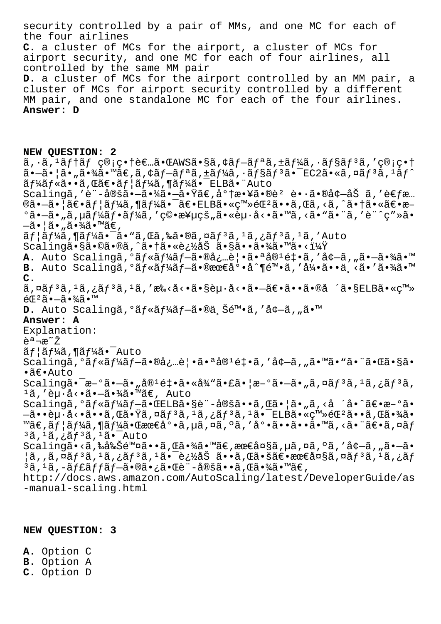security controlled by a pair of MMs, and one MC for each of the four airlines **C.** a cluster of MCs for the airport, a cluster of MCs for airport security, and one MC for each of four airlines, all controlled by the same MM pair **D.** a cluster of MCs for the airport controlled by an MM pair, a cluster of MCs for airport security controlled by a different MM pair, and one standalone MC for each of the four airlines. **Answer: D NEW QUESTION: 2**  $\tilde{a}$ ,  $\tilde{a}$ ,  $\tilde{a}$  $f$   $\tilde{a}$   $f$   $\tilde{c}$   $\tilde{c}$   $\tilde{c}$   $\tilde{c}$   $\tilde{c}$   $\tilde{c}$   $\tilde{c}$   $\tilde{c}$   $\tilde{c}$   $\tilde{c}$   $\tilde{c}$   $\tilde{c}$   $\tilde{c}$   $\tilde{c}$   $\tilde{c}$   $\tilde{c}$   $\tilde{c}$   $\tilde{c}$   $\tilde{c}$   $\tilde{$  $\tilde{a}$ • $\tilde{a}$ • $\tilde{a}$ • $\tilde{a}$ ,  $\tilde{a}$ • $\tilde{a}$  $\tilde{f}$ a,  $\tilde{a}$  $f$  $\tilde{a}$ ,  $\tilde{a}$  $f$  $\tilde{a}$ ,  $\tilde{a}$ ,  $\tilde{f}$  $\tilde{a}$ ,  $\tilde{a}$ ,  $\tilde{f}$  $\tilde{a}$ ,  $\tilde{a}$ ,  $\tilde{a}$ ,  $\tilde{f}$  $\tilde{a}$ ,  $\tilde{a}$ ,  $\tilde{f}$  $\$  $\tilde{a} f^1$ á $\tilde{f}$ «ã••ã, Œã $\epsilon$ •ã $f$ | $\tilde{a} f^1$ á $\tilde{a} f^1$ á $\tilde{a}$ • $\tilde{a}$ • $\tilde{a} f$ L $\tilde{a}$ • $\tilde{a} f$  $Scalinga,'è'-定㷗㷾㷗ã·Ÿã€,将敥ã·®è² è•·ã•®å¢—åŠ ã,'è€fæ...$  $\mathbb{R}$ ã• $\tilde{a}$ • $\tilde{a}$  =  $\tilde{a}f$  $\tilde{a}f$  $\tilde{a}f$  $\tilde{a}f$  $\tilde{a}g$ • $\tilde{a}g$ • $\tilde{a}g$ • $\tilde{a}g$ • $\tilde{a}g$ • $\tilde{a}g$ • $\tilde{a}g$ • $\tilde{a}g$ • $\tilde{a}g$ • $\tilde{a}g$ • $\tilde{a}g$ • $\tilde{a}g$ • $\tilde{a}g$ • $\tilde{a}g$  $^{\circ}$ ã• $-\tilde{a}$ • $\tilde{a}$ ,  $\mu$ ã $f\frac{1}{4}$ ã $f$ • $\tilde{a}f\frac{1}{4}$ ã, ' $\phi$  $\tilde{c}$ • $\tilde{x}$ yi van avekinas  $\tilde{a}$ vekinas  $\tilde{a}$ vekinas  $\tilde{a}$ vekinas  $\tilde{a}$ vekinas  $\tilde{a}$ vekinas  $\tilde{a}$ vekinas  $\tilde{a}$ vekinas  $\tilde{a$  $-\tilde{a} \cdot |\tilde{a} \cdot \tilde{a} \cdot \tilde{a} \cdot \tilde{a} \tilde{a} \cdot \tilde{a} \tilde{a} \cdot \tilde{a} \in \mathcal{A}$  $\tilde{a}f$ | $\tilde{a}f'$  $\tilde{a}$ ,  $\P$  $\tilde{a}f'$  $\tilde{a}$ ,  $\tilde{a}$   $\tilde{a}$ ,  $\tilde{a}$ ,  $\tilde{a}$ ,  $\tilde{a}$ ,  $\tilde{a}$ ,  $\tilde{a}$ ,  $\tilde{a}$ ,  $\tilde{a}$ ,  $\tilde{a}$ ,  $\tilde{a}$ ,  $\tilde{a}$ ,  $\tilde{a}$ ,  $\tilde{a}$ ,  $\tilde{a}$ ,  $\tilde{a}$ ,  $\tilde{a}$ , Scalingã•§ã•©ã•®ã'ˆã•†ã•«è¿½åŠ ã•§ã••ã•¾ã•™ã•‹ï¼Ÿ A. Auto Scalingã, <sup>o</sup>ãf«ãf¼ãf-㕮必è|•㕪å®<sup>1</sup>釕ã, 'å¢-ã, "ã•-㕾ã•™ **B.** Auto Scalingã, <sup>o</sup>ãf«ãf¼ãf-㕮最底å^¶é™•ã, '引ã••ä ≺ã•'㕾ã•™ **C.** ã,¤ã $f^3$ ã, $^1$ ã,¿ã $f^3$ ã, $^1$ ã,′æ‰<å<•ã•§èµ·å<•㕗〕ã••ã•®å ´ã•§ELBã•«ç™»  $éE^2$ ã• $-\tilde{a}$ • $\frac{3}{4}$ ã•™ **D.** Auto Scalingã,°ãf«ãf¼ãf-ã•®ä Šé™•ã,′å¢-ã,"ã•™ **Answer: A** Explanation: 説æ<sup>∼</sup>Ž  $\tilde{a}f$ | $\tilde{a}f$ ¼ $\tilde{a}$ , ¶ $\tilde{a}f$ ¼ $\tilde{a}$ .  $\tilde{a}$   $\tilde{a}$ Scalingã, <sup>o</sup>ãf«ãf¼ãf-㕮必覕㕪å®<sup>1</sup>釕ã, 'å¢-ã, "㕙㕓ã•"㕌ã•§ã• •〕Auto Scaling㕯æ-°ã•–ã•"å®<sup>1</sup>釕ã•«å¾"㕣㕦æ-°ã•–ã•"ã,¤ãƒ3ã,<sup>1</sup>ã,¿ãƒ3ã,  $1\tilde{a}$ ,'è $\mu \cdot \dot{a} \cdot \tilde{a} \cdot -\tilde{a} \cdot \frac{3}{4} \tilde{a} \cdot \mathbb{M} \tilde{a} \in$ , Auto Scalingã, <sup>o</sup>ãf«ãf¼ãf-㕌ELBã•§è¨-定ã••ã,Œã•¦ã•"ã, <å ´å•^〕æ–°ã•  $-\tilde{a}$ ••è $\mu$ ·å<•ã••ã,Œã•Ÿã,¤ãƒªã, $^1$ ã,¿ãƒªã, $^1$ 㕯ELBã•«ç™»éŒ $^2$ ã••ã,Œã•¾ã• ™ã€,ãf¦ãf¼ã,¶ãf¼ã•Œæœ€å°•ã,uã,¤ã,ºã,'底ã••ã••ã•™ã,<㕨〕ã,¤ãf  $3\tilde{a}$ ,  $1\tilde{a}$ ,  $i\tilde{a}f^3\tilde{a}$ ,  $1\tilde{a}$ .  $\tilde{a}$ Tauto Scalingã•<ã,‰å‰Šé™¤ã••ã,Œã•¾ã•™ã€,最大ã,µã,¤ã,ºã,′å¢-ã,"ã•-ã•  $|$ ã,,ã,¤ã $f$ 3ã, $^1$ ã,¿ã $f$ 3ã, $^1$ 㕯追åŠ ã••ã,Œã•šã€•最大ã,¤ã $f$ 3ã, $^1$ ã,¿ã $f$  $3$ ã,  $1$ ã,  $-$ ã $f$ £ã $f$ fã $f$  $-$ ã $\bullet$ ®ã $\bullet$ , à $\bullet$ vã $\bullet$   $-$ 定ã $\bullet$ • $\bullet$ ã, Œã $\bullet$  $\frac{3}{4}$ ã $\bullet$  ™ã $\in$ , http://docs.aws.amazon.com/AutoScaling/latest/DeveloperGuide/as -manual-scaling.html

**NEW QUESTION: 3**

**A.** Option C **B.** Option A **C.** Option D